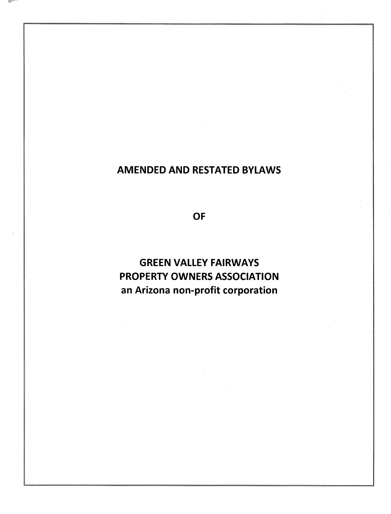# AMENDED AND RESTATED BYLAWS

OF

GREEN VALLEY FAIRWAYS PROPERTY OWNERS ASSOCIATION an Arizona non-profit corporation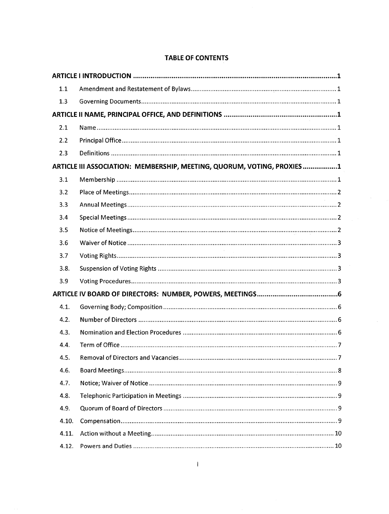| 1.1   |                                                                         |  |
|-------|-------------------------------------------------------------------------|--|
| 1.3   |                                                                         |  |
|       |                                                                         |  |
| 2.1   |                                                                         |  |
| 2.2   |                                                                         |  |
| 2.3   |                                                                         |  |
|       | ARTICLE III ASSOCIATION: MEMBERSHIP, MEETING, QUORUM, VOTING, PROXIES 1 |  |
| 3.1   |                                                                         |  |
| 3.2   |                                                                         |  |
| 3.3   |                                                                         |  |
| 3.4   |                                                                         |  |
| 3.5   |                                                                         |  |
| 3.6   |                                                                         |  |
| 3.7   |                                                                         |  |
| 3.8.  |                                                                         |  |
| 3.9   |                                                                         |  |
|       |                                                                         |  |
| 4.1.  |                                                                         |  |
| 4.2.  |                                                                         |  |
| 4.3.  |                                                                         |  |
| 4.4.  |                                                                         |  |
| 4.5.  |                                                                         |  |
| 4.6.  |                                                                         |  |
| 4.7.  |                                                                         |  |
| 4.8.  |                                                                         |  |
| 4.9.  |                                                                         |  |
| 4.10. |                                                                         |  |
| 4.11. |                                                                         |  |
| 4.12. |                                                                         |  |

# TABLE OF CONTENTS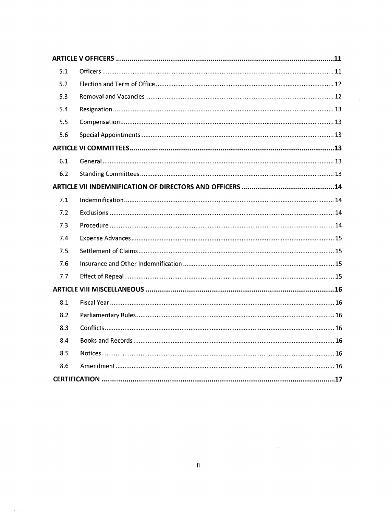| 5.1 |  |  |  |
|-----|--|--|--|
| 5.2 |  |  |  |
| 5.3 |  |  |  |
| 5.4 |  |  |  |
| 5.5 |  |  |  |
| 5.6 |  |  |  |
|     |  |  |  |
| 6.1 |  |  |  |
| 6.2 |  |  |  |
|     |  |  |  |
| 7.1 |  |  |  |
| 7.2 |  |  |  |
| 7.3 |  |  |  |
| 7.4 |  |  |  |
| 7.5 |  |  |  |
| 7.6 |  |  |  |
| 7.7 |  |  |  |
|     |  |  |  |
| 8.1 |  |  |  |
| 8.2 |  |  |  |
| 8.3 |  |  |  |
| 8.4 |  |  |  |
| 8.5 |  |  |  |
| 8.6 |  |  |  |
|     |  |  |  |

 $\hat{\boldsymbol{\gamma}}$ 

 $\bar{z}$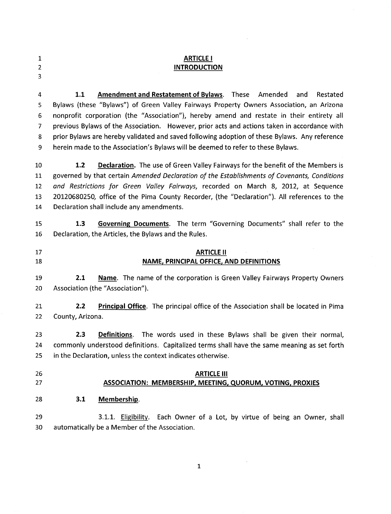| 1 |  |
|---|--|
| 2 |  |
| 3 |  |

# ARTICLE I **INTRODUCTION**

**1.1** Amendment and Restatement of Bylaws. These Amended and Restated Bylaws (these "Bylaws") of Green Valley Fairways Property Owners Association, an Arizona nonprofit corporation (the "Association"), hereby amend and restate in their entirety all previous Bylaws of the Association. However, prior acts and actions taken in accordance with prior Bylaws are hereby validated and saved following adoption of these Bylaws. Any reference 9 herein made to the Association's Bylaws will be deemed to refer to these Bylaws.

10 11 12 13 L4 1.2 Declaration. The use of Green Valley Fairways for the benefit of the Members is governed by that certain Amended Declaration of the Establishments of Covenants, Conditions and Restrictions for Green Valley Fairways, recorded on March 8, 2012, at Sequence 2012068025O office of the Pima County Recorder, (the "Declaration"). All references to the Declaration shall include any amendments.

15 1.3 Governing Documents. The term "Governing Documents" shall refer to the 16 Declaration, the Articles, the Bylaws and the Rules.

17 18 ARTICLE II NAME, PRINCIPAL OFFICE, AND DEFINITIONS

19 20 2.1 Name. The name of the corporation is Green Valley Fairways Property Owners Association (the "Association").

2.1 2.2 **Principal Office**. The principal office of the Association shall be located in Pima 22 County, Arizona.

2.3 Definitions. The words used in these Bylaws shall be given their normal, commonly understood definitions. Capitalized terms shall have the same meaning as set forth in the Declaration, unless the context indicates otherwise. 23 24 25

- 26
- 27

## ARTICLE III ASSOCIATION: MEMBERSHIP, MEETING, QUORUM, VOTING, PROXIES

28 3.1 Membership.

3.1.1. Eligibility. Each Owner of a Lot, by virtue of being an Owner, shall automatically be a Member of the Association. 29 30

L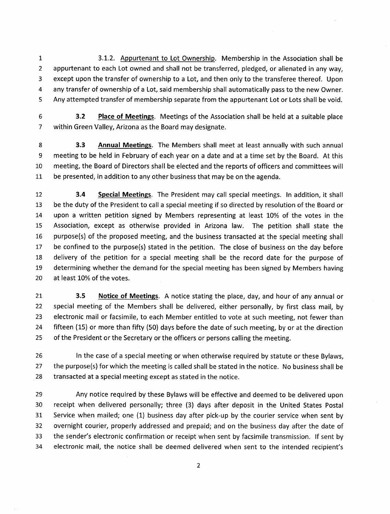I 3.L.2. Appurtenant to Lot Ownership. Membership in the Association shall be appurtenant to each Lot owned and shall not be transferred, pledged, or alienated in any way, except upon the transfer of ownership to a Lot, and then only to the transferee thereof. Upon any transfer of ownership of a Lot, said membership shall automatically pass to the new Owner. Any attempted transfer of membership separate from the appurtenant Lot or Lots shall be void.

6 3.2 Place of Meetings. Meetings of the Association shall be held at a suitable place 7 within Green Valley, Arizona as the Board may designate.

8 3.3 Annual Meetings. The Members shall meet at least annually with such annual 9 meeting to be held in February of each year on a date and at a time set by the Board. At this 10 meeting, the Board of Directors shall be elected and the reports of officers and committees will LL be presented, in addition to any other business that may be on the agenda.

3.4 Special Meetings. The President may call special meetings. In addition, it shall be the duty of the President to calla special meeting if so directed by resolution of the Board or upon a written petition signed by Members representing at least 10% of the votes in the Association, except as otherwise provided in Arizona law. The petition shall state the purpose(s) of the proposed meeting, and the business transacted at the special meeting shall be confined to the purpose(s) stated in the petition. The close of business on the day before delivery of the petition for a special meeting shall be the record date for the purpose of determining whether the demand for the special meeting has been signed by Members having at least L0% of the votes. 12 13 L4 15 16 17 18 19 20

21 3.5 Notice of Meetings. A notice stating the place, day, and hour of any annual or 22 special meeting of the Members shall be delivered, either personally, by first class mail, by 23 electronic mail or facsimile, to each Member entitled to vote at such meeting, not fewer than 24 fifteen (15) or more than fifty (50) days before the date of such meeting, by or at the direction 25 of the President or the Secretary or the officers or persons calling the meeting.

26 27 28 ln the case of a special meeting or when otherwise required by statute or these Bylaws, the purpose(s) for which the meeting is called shall be stated in the notice. No business shall be transacted at a special meeting except as stated in the notice.

Any notice required by these Bylaws will be effective and deemed to be delivered upon receipt when delivered personally; three (3) days after deposit in the United States Postal Service when mailed; one (L) business day after pick-up by the courier service when sent by overnight courier, properly addressed and prepaid; and on the business day after the date of the sender's electronic confirmation or receipt when sent by facsimile transmission. lf sent by electronic mail, the notice shall be deemed delivered when sent to the intended recipient's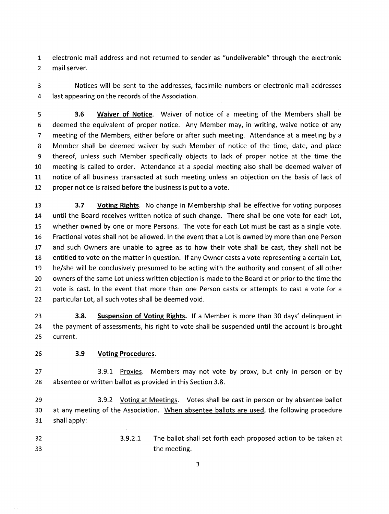1 electronic mail address and not returned to sender as "undeliverable" through the electronic 2 mail server.

3 Notices will be sent to the addresses, facsimile numbers or electronic mail addresses 4 last appearing on the records of the Association.

5 6 7 8 9 10 11 L2 3.6 Waiver of Notice. Waiver of notice of a meeting of the Members shall be deemed the equivalent of proper notice. Any Member may, in writing, waive notice of any meeting of the Members, either before or after such meeting. Attendance at a meeting by <sup>a</sup> Member shall be deemed waiver by such Member of notice of the time, date, and place thereof, unless such Member specifically objects to lack of proper notice at the time the meeting is called to order. Attendance at a special meeting also shall be deemed waiver of notice of all business transacted at such meeting unless an objection on the basis of lack of proper notice is raised before the business is put to a vote.

3.7 Voting Rights. No change in Membership shall be effective for voting purposes until the Board receives written notice of such change. There shall be one vote for each Lot, whether owned by one or more Persons. The vote for each Lot must be cast as a single vote. Fractional votes shall not be allowed. ln the event that a Lot is owned by more than one Person and such Owners are unable to agree as to how their vote shall be cast, they shall not be entitled to vote on the matter in question. lf any Owner casts a vote representing a certain Lot, he/she will be conclusively presumed to be acting with the authority and consent of all other owners of the same Lot unless written objection is made to the Board at or prior to the time the vote is cast. ln the event that more than one Person casts or attempts to cast a vote for <sup>a</sup> particular Lot, all such votes shall be deemed void. 17 13 I4 1\_5 16 18 19 20 2t 22

3.8. Suspension of Voting Rights. lf a Member is more than 30 days' delinquent in the payment of assessments, his right to vote shall be suspended until the account is brought current. 23 24 25

## <sup>26</sup> 3.9 Voting Procedures.

27 28 3.9.1 Proxies. Members may not vote by proxy, but only in person or by absentee or written ballot as provided in this Section 3.8.

29 30 31 3.9.2 Voting at Meetings. Votes shall be cast in person or by absentee ballot at any meeting of the Association. When absentee ballots are used. the following procedure shall apply:

The ballot shall set forth each proposed action to be taken at the meeting. 32 33 3.9.2.1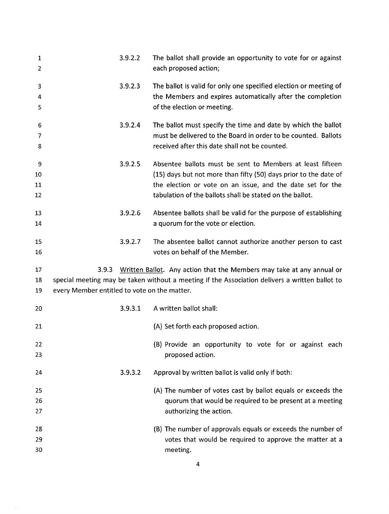| $\mathbf{1}$<br>$\overline{2}$ |                                              | 3.9.2.2 | The ballot shall provide an opportunity to vote for or against<br>each proposed action;        |
|--------------------------------|----------------------------------------------|---------|------------------------------------------------------------------------------------------------|
| 3                              |                                              | 3.9.2.3 | The ballot is valid for only one specified election or meeting of                              |
| 4                              |                                              |         | the Members and expires automatically after the completion                                     |
| 5                              |                                              |         | of the election or meeting.                                                                    |
| 6                              |                                              | 3.9.2.4 | The ballot must specify the time and date by which the ballot                                  |
| 7                              |                                              |         | must be delivered to the Board in order to be counted. Ballots                                 |
| 8                              |                                              |         | received after this date shall not be counted.                                                 |
| 9                              |                                              | 3.9.2.5 | Absentee ballots must be sent to Members at least fifteen                                      |
| 10                             |                                              |         | (15) days but not more than fifty (50) days prior to the date of                               |
| 11                             |                                              |         | the election or vote on an issue, and the date set for the                                     |
| 12                             |                                              |         | tabulation of the ballots shall be stated on the ballot.                                       |
| 13                             |                                              | 3.9.2.6 | Absentee ballots shall be valid for the purpose of establishing                                |
| 14                             |                                              |         | a quorum for the vote or election.                                                             |
| 15                             |                                              | 3.9.2.7 | The absentee ballot cannot authorize another person to cast                                    |
| 16                             |                                              |         | votes on behalf of the Member.                                                                 |
| 17                             | 3.9.3                                        |         | Written Ballot. Any action that the Members may take at any annual or                          |
| 18                             |                                              |         | special meeting may be taken without a meeting if the Association delivers a written ballot to |
| 19                             | every Member entitled to vote on the matter. |         |                                                                                                |
| 20                             |                                              | 3.9.3.1 | A written ballot shall:                                                                        |
| 21                             |                                              |         | (A) Set forth each proposed action.                                                            |
| 22                             |                                              |         | (B) Provide an opportunity to vote for or against each                                         |
| 23                             |                                              |         | proposed action.                                                                               |
| 24                             |                                              | 3.9.3.2 | Approval by written ballot is valid only if both:                                              |
| 25                             |                                              |         | (A) The number of votes cast by ballot equals or exceeds the                                   |
| 26                             |                                              |         | quorum that would be required to be present at a meeting                                       |
| 27                             |                                              |         | authorizing the action.                                                                        |
| 28                             |                                              |         | (B) The number of approvals equals or exceeds the number of                                    |
| 29                             |                                              |         | votes that would be required to approve the matter at a                                        |
| 30                             |                                              |         | meeting.                                                                                       |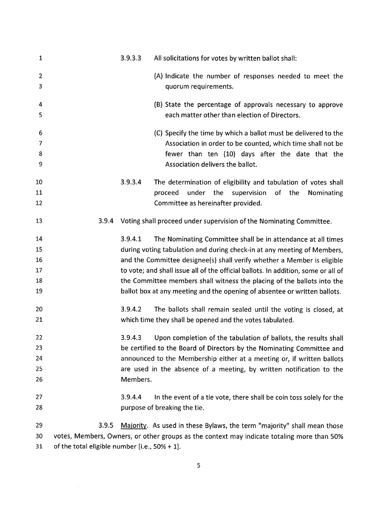| $\mathbf{1}$        |                                                   | 3.9.3.3  | All solicitations for votes by written ballot shall:                                                        |
|---------------------|---------------------------------------------------|----------|-------------------------------------------------------------------------------------------------------------|
| $\overline{2}$<br>3 |                                                   |          | (A) Indicate the number of responses needed to meet the<br>quorum requirements.                             |
| 4<br>5              |                                                   |          | (B) State the percentage of approvals necessary to approve<br>each matter other than election of Directors. |
| 6                   |                                                   |          | (C) Specify the time by which a ballot must be delivered to the                                             |
| 7                   |                                                   |          | Association in order to be counted, which time shall not be                                                 |
| 8<br>9              |                                                   |          | fewer than ten (10) days after the date that the<br>Association delivers the ballot.                        |
| 10                  |                                                   | 3.9.3.4  | The determination of eligibility and tabulation of votes shall                                              |
| 11<br>12            |                                                   |          | the<br>proceed<br>under<br>supervision of the<br>Nominating<br>Committee as hereinafter provided.           |
| 13                  | 3.9.4                                             |          | Voting shall proceed under supervision of the Nominating Committee.                                         |
| 14                  |                                                   | 3.9.4.1  | The Nominating Committee shall be in attendance at all times                                                |
| 15                  |                                                   |          | during voting tabulation and during check-in at any meeting of Members,                                     |
| 16                  |                                                   |          | and the Committee designee(s) shall verify whether a Member is eligible                                     |
| 17                  |                                                   |          | to vote; and shall issue all of the official ballots. In addition, some or all of                           |
| 18                  |                                                   |          | the Committee members shall witness the placing of the ballots into the                                     |
| 19                  |                                                   |          | ballot box at any meeting and the opening of absentee or written ballots.                                   |
| 20                  |                                                   | 3.9.4.2  | The ballots shall remain sealed until the voting is closed, at                                              |
| 21                  |                                                   |          | which time they shall be opened and the votes tabulated.                                                    |
| 22                  |                                                   | 3.9.4.3  | Upon completion of the tabulation of ballots, the results shall                                             |
| 23                  |                                                   |          | be certified to the Board of Directors by the Nominating Committee and                                      |
| 24                  |                                                   |          | announced to the Membership either at a meeting or, if written ballots                                      |
| 25                  |                                                   |          | are used in the absence of a meeting, by written notification to the                                        |
| 26                  |                                                   | Members. |                                                                                                             |
| 27                  |                                                   | 3.9.4.4  | In the event of a tie vote, there shall be coin toss solely for the                                         |
| 28                  |                                                   |          | purpose of breaking the tie.                                                                                |
| 29                  | 3.9.5                                             |          | Majority. As used in these Bylaws, the term "majority" shall mean those                                     |
| 30                  |                                                   |          | votes, Members, Owners, or other groups as the context may indicate totaling more than 50%                  |
| 31                  | of the total eligible number [i.e., $50\% + 1$ ]. |          |                                                                                                             |

5

 $\sim$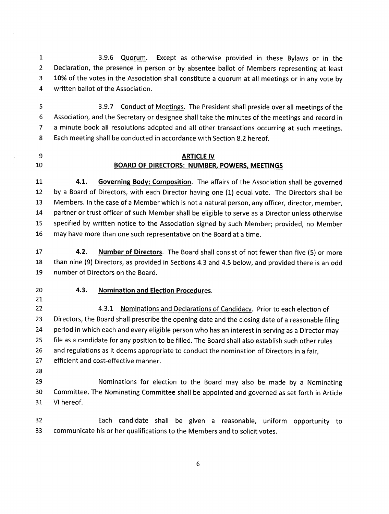$\mathbf{1}$ 2 3 4 3.9.6 Quorum. Except as otherwise provided in these Bylaws or in the Declaration, the presence in person or by absentee ballot of Members representing at least 10% of the votes in the Association shall constitute a quorum at all meetings or in any vote by written ballot of the Association.

5 6 7 B 3.9.7 Conduct of Meetings. The President shall preside over all meetings of the Association, and the Secretary or designee shall take the minutes of the meetings and record in a minute book all resolutions adopted and all other transactions occurring at such meetings, Each meeting shall be conducted in accordance with Section 8.2 hereof.

9 10

**ARTICLE IV** BOARD OF DIRECTORS: NUMBER, POWERS, MEETINGS

4.1. Governing Body; Composition. The affairs of the Association shall be governed by a Board of Directors, with each Director having one (1) equal vote. The Directors shall be Members. ln the case of a Member which is not a natural person, any officer, director, member, partner or trust officer of such Member shall be eligible to serve as a Director unless otherwise specified by written notice to the Association signed by such Member; provided, no Member may have more than one such representative on the Board at a time.  $11$ 12 13 14 15 T6

4.2. Number of Directors. The Board shall consist of not fewer than five (5) or more than nine (9) Directors, as provided in Sections 4.3 and 4.5 below, and provided there is an odd number of Directors on the Board. L7 18 19

- 20 2I
- 4.3. Nomination and Election Procedures
- 4.3.1 Nominations and Declarations of Candidacy. Prior to each election of Directors, the Board shall prescribe the opening date and the closing date of a reasonable filing period in which each and every eligible person who has an interest in serving as a Director may file as a candidate for any position to be filled. The Board shall also establish such other rules and regulations as it deems appropriate to conduct the nomination of Directors in a fair, efficient and cost-effective manner. 22 23 24 25 26 27
- 28

29 30 3I Nominations for election to the Board may also be made by a Nominating Committee. The Nominating Committee shall be appointed and governed as set forth in Article Vl hereof.

32 Each candidate shall be given a reasonable, uniform opportunity to33 communicate his or her qualifications to the Members and to solicit votes.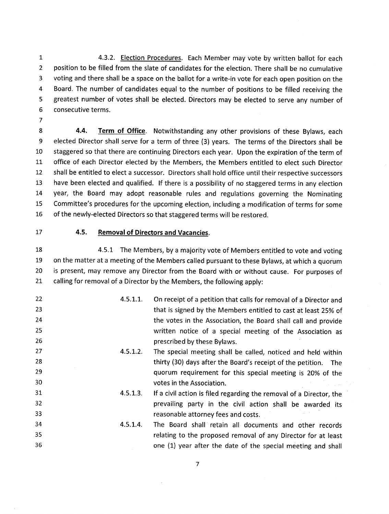1 2 3 4 5 6 4.3.2. Election Procedures. Each Member may vote by written ballot for each position to be filled from the slate of candidates for the election. There shall be no cumulative voting and there shall be a space on the ballot for a write-in vote for each open position on the Board. The number of candidates equal to the number of positions to be filled receiving the greatest number of votes shall be elected. Directors may be elected to serve any number of consecutive terms.

7

8 9 10 IL 12 13 'J.4 15 16 4.4. Term of Office. Notwithstanding any other provisions of these Bylaws, each elected Director shall serve for a term of three (3) years. The terms of the Directors shall be staggered so that there are continuing Directors each year. Upon the expiration of the term of office of each Director elected by the Members, the Members entitled to elect such Director shall be entitled to elect a successor. Directors shall hold office until their respective successors have been elected and qualified. lf there is a possibility of no staggered terms in any election year, the Board may adopt reasonable rules and regulations governing the Nominating Committee's procedures for the upcoming election, including a modification of terms for some of the newly-elected Directors so that staggered terms will be restored.

L7

#### 4.5. Removal of Directors and Vacancies.

4.5.L The Members, by a majority vote of Members entitled to vote and voting on the matter at a meeting of the Members called pursuant to these Bylaws, at which a quorum is present, may remove any Director from the Board with or without cause. For purposes of calling for removal of a Director by the Members, the following apply: 18 19 20 2L

| 22 | 4.5.1.1. | On receipt of a petition that calls for removal of a Director and   |
|----|----------|---------------------------------------------------------------------|
| 23 |          | that is signed by the Members entitled to cast at least 25% of      |
| 24 |          | the votes in the Association, the Board shall call and provide      |
| 25 |          | written notice of a special meeting of the Association as           |
| 26 |          | prescribed by these Bylaws.                                         |
| 27 | 4.5.1.2. | The special meeting shall be called, noticed and held within        |
| 28 |          | thirty (30) days after the Board's receipt of the petition. The     |
| 29 |          | quorum requirement for this special meeting is 20% of the           |
| 30 |          | votes in the Association.                                           |
| 31 | 4.5.1.3. | If a civil action is filed regarding the removal of a Director, the |
| 32 |          | prevailing party in the civil action shall be awarded its           |
| 33 |          | reasonable attorney fees and costs.                                 |
| 34 | 4.5.1.4. | The Board shall retain all documents and other records              |
| 35 |          | relating to the proposed removal of any Director for at least       |
| 36 |          | one (1) year after the date of the special meeting and shall        |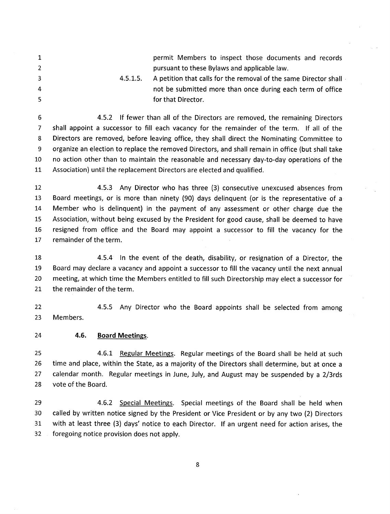1, 2 3 4.5.1\_.5 permit Members to inspect those documents and records pursuant to these Bylaws and applicable law. A petition that calls for the removal of the same Director shall

4 5 not be submitted more than once during each term of office for that Director.

6 7 8 9 10 LL 4.5.2 lf fewer than all of the Directors are removed, the remaining Directors shall appoint a successor to fill each vacancy for the remainder of the term. lf all of the Directors are removed, before leaving office, they shall direct the Nominating Committee to organize an election to replace the removed Directors, and shall remain in office (but shall take no action other than to maintain the reasonable and necessary day-to-day operations of the Association) until the replacement Directors are elected and qualified.

12 13 T4 15 16 !7 4.5.3 Any Director who has three (3) consecutive unexcused absences from Board meetings, or is more than ninety (90) days delinquent (or is the representative of <sup>a</sup> Member who is delinquent) in the payment of any assessment or other charge due the Association, without being excused by the President for good cause, shall be deemed to have resigned from office and the Board may appoint a successor to fill the vacancy for the remainder of the term.

18 19 20 2I 4.5.4 ln the event of the death, disability, or resignation of a Director, the Board may declare a vacancy and appoint a successor to fill the vacancy until the next annual meeting, at which time the Members entitled to fill such Directorship may elect a successor for the remainder of the term.

4.5.5 Any Director who the Board appoints shall be selected from among Members 22 23

4.6. Board Meetings. 24

4.6.1 Regular Meetings. Regular meetings of the Board shall be held at such time and place, within the State, as a majority of the Directors shall determine, but at once <sup>a</sup> calendar month. Regular meetings in June, July, and August may be suspended by a 2/3rds vote of the Board. 25 26 27 28

4.6.2 Special Meetinss. Special meetings of the Board shall be held when called by written notice signed by the President or Vice President or by any two (2) Directors with at least three (3) days' notice to each Director. lf an urgent need for action arises, the foregoing notice provision does not apply. 29 30 31 32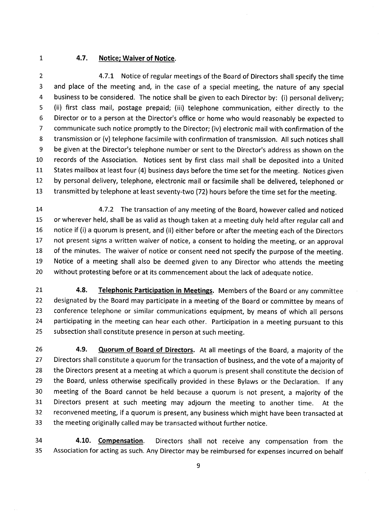$\mathbf{1}$ 

## 4.7. Notice; Waiver of Notice.

2 3 4 5 6 7 8 9 10 TL 12 1\_3 4.7.L Notice of regular meetings of the Board of Directors shall specify the time and place of the meeting and, in the case of a special meeting, the nature of any special business to be considered. The notice shall be given to each Director by: (i) personal delivery; (ii) first class mail, postage prepaid; (iii) telephone communication, either directly to the Director or to a person at the Director's office or home who would reasonably be expected to communicate such notice promptly to the Director; (iv) electronic mail with confirmation of the transmission or (v) telephone facsimile with confirmation of transmission. All such notices shall be given at the Director's telephone number or sent to the Director's address as shown on the records of the Association. Notices sent by first class mail shall be deposited into a United States mailbox at least four (4) business days before the time set for the meeting. Notices given by personal delivery, telephone, electronic mail or facsimile shall be delivered, telephoned or transmitted by telephone at least seventy-two (721hours before the time set for the meeting.

1.4 15 16 L7 18 19 20 4.7.2 The transaction of any meeting of the Board, however called and noticed or wherever held, shall be as valid as though taken at a meeting duly held after regular call and notice if (i) a quorum is present, and (ii) either before or after the meeting each of the Directors not present signs a written waiver of notice, a consent to holding the meeting, or an approval of the minutes. The waiver of notice or consent need not specify the purpose of the meeting. Notice of a meeting shall also be deemed given to any Director who attends the meeting without protesting before or at its commencement about the lack of adequate notice.

4.8. Telephonic Participation in Meetings. Members of the Board or any committee designated by the Board may participate in a meeting of the Board or committee by means of conference telephone or similar communications equipment, by means of which all persons participating in the meeting can hear each other. Participation in a meeting pursuant to this subsection shall constitute presence in person at such meeting. 2I 22 23 24 25

4.9. Quorum of Board of Directors. At all meetings of the Board, a majority of the Directors shall constitute a quorum for the transaction of business, and the vote of a majority of the Directors present at a meeting at which a quorum is present shall constitute the decision of the Board, unless otherwise specifically provided in these Bylaws or the Declaration. lf any meeting of the Board cannot be held because a quorum is not present, a majority of the Directors present at such meeting may adjourn the meeting to another time. At the reconvened meeting, if a quorum is present, any business which might have been transacted at the meeting originally called may be transacted without further notice. 26 27 28 29 30 31 32 33

4.10. Compensation. Directors shall not receive any compensation from the Association for acting as such. Any Director may be reimbursed for expenses incurred on behalf 34 35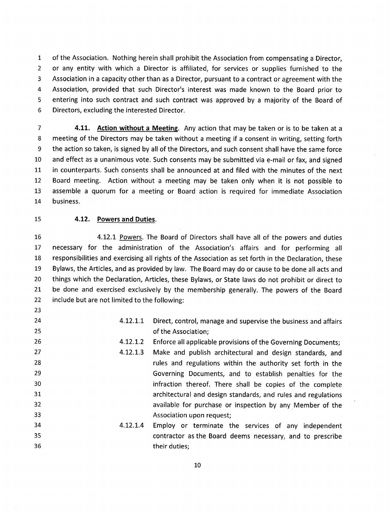of the Association. Nothing herein shall prohibit the Association from compensating a Director, or any entity with which a Director is affiliated, for services or supplies furnished to the Association in a capacity other than as a Director, pursuant to a contract or agreement with the Association, provided that such Director's interest was made known to the Board prior to entering into such contract and such contract was approved by a majority of the Board of Directors, excluding the interested Director.

7 **4.11.** Action without a Meeting. Any action that may be taken or is to be taken at a 8 meeting of the Directors may be taken without a meeting if a consent in writing, setting forth 9 the action so taken, is signed by all of the Directors, and such consent shall have the same force 10 and effect as a unanimous vote. Such consents may be submitted via e-mail or fax, and signed 11 in counterparts. Such consents shall be announced at and filed with the minutes of the next L2 Board meeting. Action without a meeting may be taken only when it is not possible to 13 assemble a quorum for a meeting or Board action is required for immediate Association 14 business.

23

#### 15 4.12. Powers and Duties.

1\_6 17 18 19 20 2L 22 4.12.1 Powers. The Board of Directors shall have all of the powers and duties necessary for the administration of the Association's affairs and for performing all responsibilities and exercising all rights of the Association as set forth in the Declaration, these Bylaws, the Articles, and as provided by law. The Board may do or cause to be done all acts and things which the Declaration, Articles, these Bylaws, or State laws do not prohibit or direct to be done and exercised exclusively by the membership generally. The powers of the Board include but are not limited to the following:

24 25 26 27 28 29 30 31 32 33 34 35 36 4.12.1.1 Direct, control, manage and supervise the business and affairs of the Association; Enforce all applicable provisions of the Governing Documents; Make and publish architectural and design standards, and rules and regulations within the authority set forth in the Governing Documents, and to establish penalties for the infraction thereof. There shall be copies of the complete architectural and design standards, and rules and regulations available for purchase or inspection by any Member of the Association upon request; Employ or terminate the services of any independent contractor as the Board deems necessary, and to prescribe their duties;  $4.12.1.2$ 4.12.I.3 4.12.L4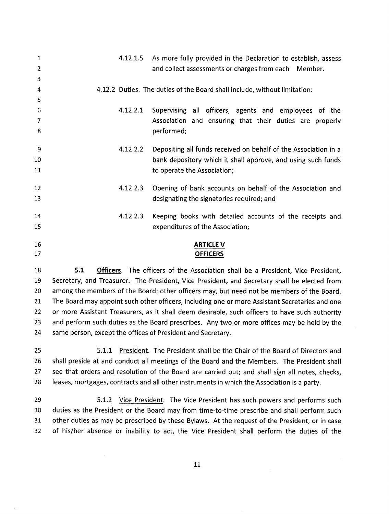| 1  |          | 4.12.1.5 As more fully provided in the Declaration to establish, assess   |
|----|----------|---------------------------------------------------------------------------|
| 2  |          | and collect assessments or charges from each Member.                      |
| 3  |          |                                                                           |
| 4  |          | 4.12.2 Duties. The duties of the Board shall include, without limitation: |
| 5  |          |                                                                           |
| 6  | 4.12.2.1 | Supervising all officers, agents and employees of the                     |
| 7  |          | Association and ensuring that their duties are properly                   |
| 8  |          | performed;                                                                |
|    |          |                                                                           |
| 9  | 4.12.2.2 | Depositing all funds received on behalf of the Association in a           |
| 10 |          | bank depository which it shall approve, and using such funds              |
| 11 |          | to operate the Association;                                               |
| 12 | 4.12.2.3 |                                                                           |
| 13 |          | Opening of bank accounts on behalf of the Association and                 |
|    |          | designating the signatories required; and                                 |
| 14 | 4.12.2.3 | Keeping books with detailed accounts of the receipts and                  |
| 15 |          | expenditures of the Association;                                          |
|    |          |                                                                           |
| 16 |          | <b>ARTICLE V</b>                                                          |
| 17 |          | <b>OFFICERS</b>                                                           |
|    |          |                                                                           |

18 5.1 Officers. The officers of the Association shall be a President, Vice President, Secretary, and Treasurer. The President, Vice President, and Secretary shall be elected from among the members of the Board; other officers may, but need not be members of the Board. 2t The Board may appoint such other officers, including one or more Assistant Secretaries and one or more Assistant Treasurers, as it shall deem desirable, such officers to have such authority and perform such duties as the Board prescribes. Any two or more offices may be held by the same person, except the offices of President and Secretary.

5.1.1- President. The President shall be the Chair of the Board of Directors and shall preside at and conduct all meetings of the Board and the Members. The President shall see that orders and resolution of the Board are carried out; and shall sign all notes, checks, leases, mortgages, contracts and all other instruments in which the Association is a party.

5.1.2 Vice President. The Vice President has such powers and performs such duties as the President or the Board may from time-to-time prescribe and shall perform such other duties as may be prescribed by these Bylaws. At the request of the President, or in case of his/her absence or inability to act, the Vice President shall perform the duties of the 29 30 31 32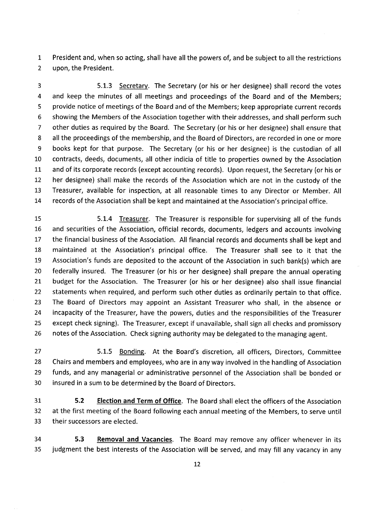1 President and, when so acting, shall have all the powers of, and be subject to all the restrictions 2 upon, the President.

5.1.3 Secretarv. The Secretary (or his or her designee) shall record the votes and keep the minutes of all meetings and proceedings of the Board and of the Members; provide notice of meetings of the Board and of the Members; keep appropriate current records showing the Members of the Association together with their addresses, and shall perform such other duties as required by the Board. The Secretary (or his or her designee) shall ensure that all the proceedings of the membership, and the Board of Directors, are recorded in one or more books kept for that purpose. The Secretary (or his or her designee) is the custodian of all contracts, deeds, documents, all other indicia of title to properties owned by the Association and of its corporate records (except accounting records). Upon request, the Secretary (or his or her designee) shall make the records of the Association which are not in the custody of the Treasurer, available for inspection, at all reasonable times to any Director or Member. All records of the Association shall be kept and maintained at the Association's principal office. 3 4 5 6 7 8 9 10 1.L 12 13 'J.4

15 16 17 18 19 20 2L 22 23 24 25 26 5.L.4 Treasurer. The Treasurer is responsible for supervising all of the funds and securities of the Association, official records, documents, ledgers and accounts involving the financial business of the Association. Allfinancial records and documents shall be kept and maintained at the Association's principal office. The Treasurer shall see to it that the Association's funds are deposited to the account of the Association in such bank(s) which are federally insured. The Treasurer (or his or her designee) shall prepare the annual operating budget for the Association. The Treasurer (or his or her designee) also shall issue financial statements when required, and perform such other duties as ordinarily pertain to that office. The Board of Directors may appoint an Assistant Treasurer who shall, in the absence or incapacity of the Treasurer, have the powers, duties and the responsibilities of the Treasurer except check signing). The Treasurer, except if unavailable, shall sign all checks and promissory notes of the Association. Check signing authority may be delegated to the managing agent.

5.1.5 Bonding. At the Board's discretion, all officers, Directors, Committee Chairs and members and employees, who are in any way involved in the handling of Association funds, and any managerial or administrative personnel of the Association shall be bonded or insured in a sum to be determined by the Board of Directors. 27 28 29 30

5.2 Election and Term of Office. The Board shall elect the officers of the Association at the first meeting of the Board following each annual meeting of the Members, to serve until their successors are elected. 31 32 33

5.3 Removal and Vacancies. The Board may remove any officer whenever in its judgment the best interests of the Association will be served, and may fill any vacancy in any 34 35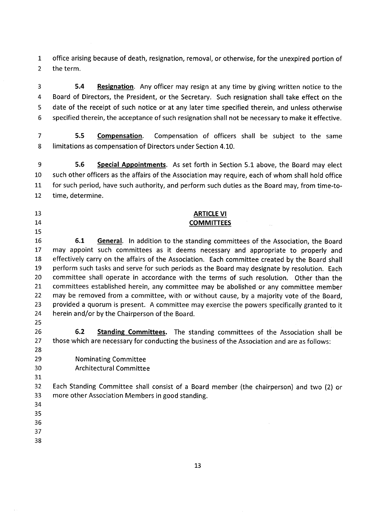$\mathbf{1}$ 2 office arising because of death, resignation, removal, or otherwise, for the unexpired portion of the term

5.4 Resignation. Any officer may resign at any time by giving written notice to the Board of Directors, the President, or the Secretary. Such resignation shall take effect on the date of the receipt of such notice or at any later time specified therein, and unless otherwise specified therein, the acceptance of such resignation shall not be necessary to make it effective. 3 4 5 6

5.5 Compensation. Compensation of officers shall be subject to the same limitations as compensation of Directors under Section 4.10. 7 8

5.6 Special Appointments. As set forth in Section 5.1 above, the Board may elect such other officers as the affairs of the Association may require, each of whom shall hold office for such period, have such authority, and perform such duties as the Board may, from time-totime, determine. 9 10 TL L2

# 13

- L4
- L5

## ARTICLE VI COMMITTEES

6.1 General. In addition to the standing committees of the Association, the Board may appoint such committees as it deems necessary and appropriate to properly and effectively carry on the affairs of the Association. Each committee created by the Board shall perform such tasks and serve for such periods as the Board may designate by resolution. Each committee shall operate in accordance with the terms of such resolution. Other than the committees established herein, any committee may be abolished or any committee member may be removed from a committee, with or without cause, by a majority vote of the Board, provided a quorum is present. A committee may exercise the powers specifically granted to it herein and/or by the Chairperson of the Board. L6 L7 18 19 20 2t 22 23 24

25 26

27

6.2 Standing Committees. The standing committees of the Association shall be those which are necessary for conducting the business of the Association and are as follows

Nominating Committee 28 29

Architectural Committee 30

31

Each Standing Committee shall consist of a Board member (the chairperson) and two (2) or more other Association Members in good standing. 32 33

- 34 35
- 36

37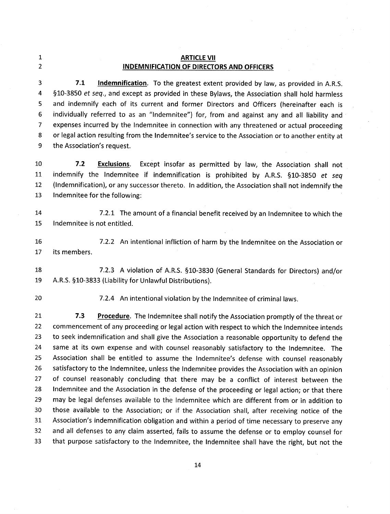1 2

# ARTICLE VII INDEMNIFICATION OF DIRECTORS AND OFFICERS

3 4 5 6 7 8 9 7.1 Indemnification. To the greatest extent provided by law, as provided in A.R.S. 510-3850 et seq., and except as provided in these Bylaws, the Association shall hold harmless and indemnify each of its current and former Directors and Officers (hereinafter each is individually referred to as an "Indemnitee") for, from and against any and all liability and expenses incurred by the lndemnitee in connection with any threatened or actual proceeding or legal action resulting from the lndemnitee's service to the Association or to another entity at the Association's request.

10 LI L2 1\_3 7.2 Exclusions. Except insofar as permitted by law, the Association shall not indemnify the Indemnitee if indemnification is prohibited by A.R.S. §10-3850 et seq (lndemnification), or any successor thereto. ln addition, the Association shall not indemnify the lndemnitee for the following:

- 14 7.2.L The amount of a financial benefit received by an lndemnitee to which the 15 Indemnitee is not entitled.
- L6 17 7.2.2 An intentional infliction of harm by the lndemnitee on the Association or its members

18 7.2.3 A violation of A.R.S. 510-3830 (General Standards for Directors) and/or 19 A.R.S. S10-3833 (Liability for Unlawful Distributions).

<sup>20</sup> 7.2.4 An intentional violation by the lndemnitee of criminal laws

7.3 Procedure. The Indemnitee shall notify the Association promptly of the threat or commencement of any proceeding or legal action with respect to which the lndemnitee intends to seek indemnification and shall give the Association a reasonable opportunity to defend the same at its own expense and with counsel reasonably satisfactory to the lndemnitee. The Association shall be entitled to assume the lndemnitee's defense with counsel reasonably satisfactory to the lndemnitee, unless the lndemnitee provides the Association with an opinion of counsel reasonably concluding that there may be a conflict of interest between the lndemnitee and the Association in the defense of the proceeding or legal action; or that there may be legal defenses available to the lndemnitee which are different from or in addition to those available to the Association; or if the Association shall, after receiving notice of the Association's indemnification obligation and within a period of time necessary to preserve any and all defenses to any claim asserted, fails to assume the defense or to employ counsel for that purpose satisfactory to the lndemnitee, the lndemnitee shall have the right, but not the 2L 22 23 24 25 26 27 28 29 30 31 32 33